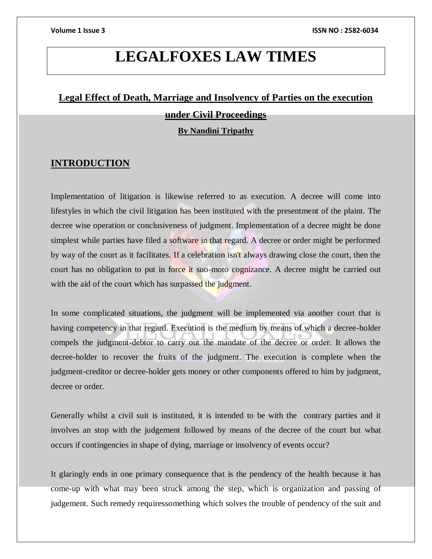# **LEGALFOXES LAW TIMES**

# **Legal Effect of Death, Marriage and Insolvency of Parties on the execution**

### **under Civil Proceedings**

### **By Nandini Tripathy**

# **INTRODUCTION**

Implementation of litigation is likewise referred to as execution. A decree will come into lifestyles in which the civil litigation has been instituted with the presentment of the plaint. The decree wise operation or conclusiveness of judgment. Implementation of a decree might be done simplest while parties have filed a software in that regard. A decree or order might be performed by way of the court as it facilitates. If a celebration isn't always drawing close the court, then the court has no obligation to put in force it suo-moto cognizance. A decree might be carried out with the aid of the court which has surpassed the judgment.

In some complicated situations, the judgment will be implemented via another court that is having competency in that regard. Execution is the medium by means of which a decree-holder compels the judgment-debtor to carry out the mandate of the decree or order. It allows the decree-holder to recover the fruits of the judgment. The execution is complete when the judgment-creditor or decree-holder gets money or other components offered to him by judgment, decree or order.

Generally whilst a civil suit is instituted, it is intended to be with the contrary parties and it involves an stop with the judgement followed by means of the decree of the court but what occurs if contingencies in shape of dying, marriage or insolvency of events occur?

It glaringly ends in one primary consequence that is the pendency of the health because it has come-up with what may been struck among the step, which is organization and passing of judgement. Such remedy requiressomething which solves the trouble of pendency of the suit and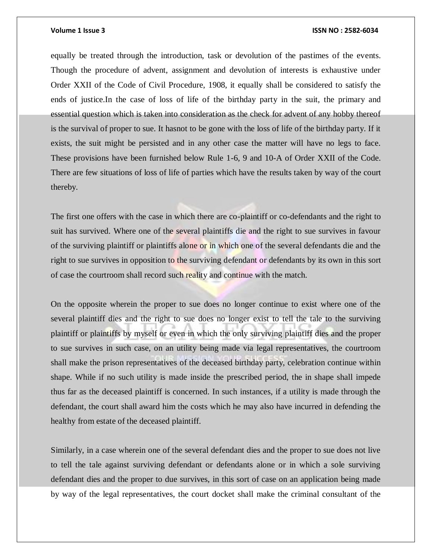equally be treated through the introduction, task or devolution of the pastimes of the events. Though the procedure of advent, assignment and devolution of interests is exhaustive under Order XXII of the Code of Civil Procedure, 1908, it equally shall be considered to satisfy the ends of justice.In the case of loss of life of the birthday party in the suit, the primary and essential question which is taken into consideration as the check for advent of any hobby thereof is the survival of proper to sue. It hasnot to be gone with the loss of life of the birthday party. If it exists, the suit might be persisted and in any other case the matter will have no legs to face. These provisions have been furnished below Rule 1-6, 9 and 10-A of Order XXII of the Code. There are few situations of loss of life of parties which have the results taken by way of the court thereby.

The first one offers with the case in which there are co-plaintiff or co-defendants and the right to suit has survived. Where one of the several plaintiffs die and the right to sue survives in favour of the surviving plaintiff or plaintiffs alone or in which one of the several defendants die and the right to sue survives in opposition to the surviving defendant or defendants by its own in this sort of case the courtroom shall record such reality and continue with the match.

On the opposite wherein the proper to sue does no longer continue to exist where one of the several plaintiff dies and the right to sue does no longer exist to tell the tale to the surviving plaintiff or plaintiffs by myself or even in which the only surviving plaintiff dies and the proper to sue survives in such case, on an utility being made via legal representatives, the courtroom shall make the prison representatives of the deceased birthday party, celebration continue within shape. While if no such utility is made inside the prescribed period, the in shape shall impede thus far as the deceased plaintiff is concerned. In such instances, if a utility is made through the defendant, the court shall award him the costs which he may also have incurred in defending the healthy from estate of the deceased plaintiff.

Similarly, in a case wherein one of the several defendant dies and the proper to sue does not live to tell the tale against surviving defendant or defendants alone or in which a sole surviving defendant dies and the proper to due survives, in this sort of case on an application being made by way of the legal representatives, the court docket shall make the criminal consultant of the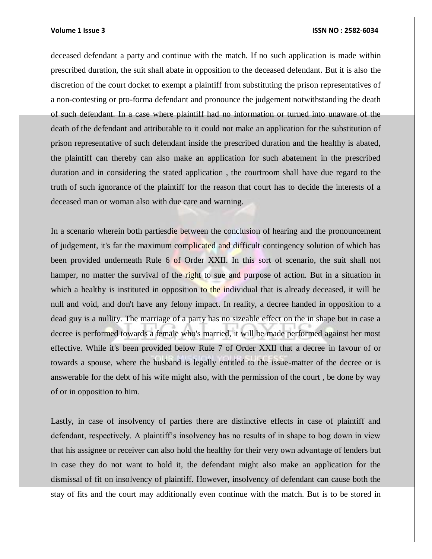deceased defendant a party and continue with the match. If no such application is made within prescribed duration, the suit shall abate in opposition to the deceased defendant. But it is also the discretion of the court docket to exempt a plaintiff from substituting the prison representatives of a non-contesting or pro-forma defendant and pronounce the judgement notwithstanding the death of such defendant. In a case where plaintiff had no information or turned into unaware of the death of the defendant and attributable to it could not make an application for the substitution of prison representative of such defendant inside the prescribed duration and the healthy is abated, the plaintiff can thereby can also make an application for such abatement in the prescribed duration and in considering the stated application , the courtroom shall have due regard to the truth of such ignorance of the plaintiff for the reason that court has to decide the interests of a deceased man or woman also with due care and warning.

In a scenario wherein both partiesdie between the conclusion of hearing and the pronouncement of judgement, it's far the maximum complicated and difficult contingency solution of which has been provided underneath Rule 6 of Order XXII. In this sort of scenario, the suit shall not hamper, no matter the survival of the right to sue and purpose of action. But in a situation in which a healthy is instituted in opposition to the individual that is already deceased, it will be null and void, and don't have any felony impact. In reality, a decree handed in opposition to a dead guy is a nullity. The marriage of a party has no sizeable effect on the in shape but in case a decree is performed towards a female who's married, it will be made performed against her most effective. While it's been provided below Rule 7 of Order XXII that a decree in favour of or towards a spouse, where the husband is legally entitled to the issue-matter of the decree or is answerable for the debt of his wife might also, with the permission of the court , be done by way of or in opposition to him.

Lastly, in case of insolvency of parties there are distinctive effects in case of plaintiff and defendant, respectively. A plaintiff's insolvency has no results of in shape to bog down in view that his assignee or receiver can also hold the healthy for their very own advantage of lenders but in case they do not want to hold it, the defendant might also make an application for the dismissal of fit on insolvency of plaintiff. However, insolvency of defendant can cause both the stay of fits and the court may additionally even continue with the match. But is to be stored in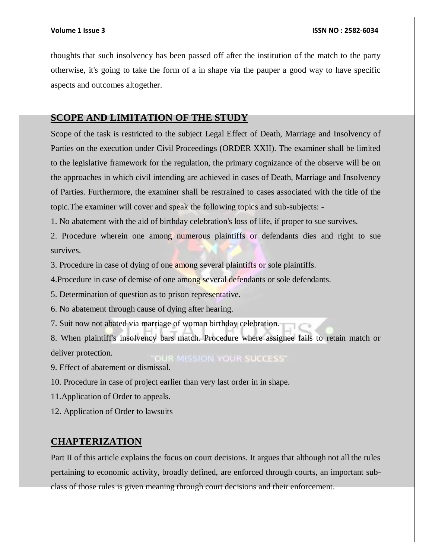thoughts that such insolvency has been passed off after the institution of the match to the party otherwise, it's going to take the form of a in shape via the pauper a good way to have specific aspects and outcomes altogether.

# **SCOPE AND LIMITATION OF THE STUDY**

Scope of the task is restricted to the subject Legal Effect of Death, Marriage and Insolvency of Parties on the execution under Civil Proceedings (ORDER XXII). The examiner shall be limited to the legislative framework for the regulation, the primary cognizance of the observe will be on the approaches in which civil intending are achieved in cases of Death, Marriage and Insolvency of Parties. Furthermore, the examiner shall be restrained to cases associated with the title of the topic.The examiner will cover and speak the following topics and sub-subjects: -

1. No abatement with the aid of birthday celebration's loss of life, if proper to sue survives.

2. Procedure wherein one among numerous plaintiffs or defendants dies and right to sue survives.

3. Procedure in case of dying of one among several plaintiffs or sole plaintiffs.

4.Procedure in case of demise of one among several defendants or sole defendants.

5. Determination of question as to prison representative.

6. No abatement through cause of dying after hearing.

7. Suit now not abated via marriage of woman birthday celebration.

8. When plaintiff's insolvency bars match. Procedure where assignee fails to retain match or deliver protection. **OUR MISSION YOUR SUCCESS'** 

9. Effect of abatement or dismissal.

10. Procedure in case of project earlier than very last order in in shape.

11.Application of Order to appeals.

12. Application of Order to lawsuits

# **CHAPTERIZATION**

Part II of this article explains the focus on court decisions. It argues that although not all the rules pertaining to economic activity, broadly defined, are enforced through courts, an important subclass of those rules is given meaning through court decisions and their enforcement.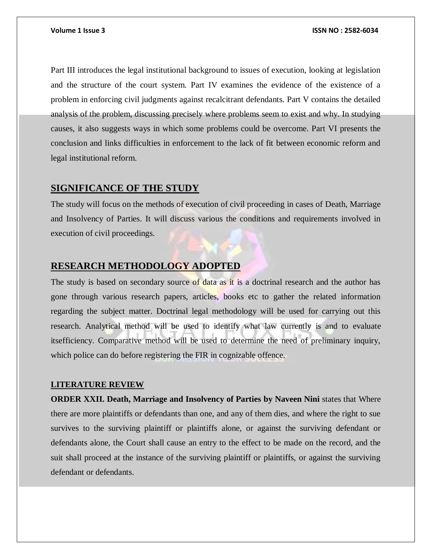Part III introduces the legal institutional background to issues of execution, looking at legislation and the structure of the court system. Part IV examines the evidence of the existence of a problem in enforcing civil judgments against recalcitrant defendants. Part V contains the detailed analysis of the problem, discussing precisely where problems seem to exist and why. In studying causes, it also suggests ways in which some problems could be overcome. Part VI presents the conclusion and links difficulties in enforcement to the lack of fit between economic reform and legal institutional reform.

# **SIGNIFICANCE OF THE STUDY**

The study will focus on the methods of execution of civil proceeding in cases of Death, Marriage and Insolvency of Parties. It will discuss various the conditions and requirements involved in execution of civil proceedings.

# **RESEARCH METHODOLOGY ADOPTED**

The study is based on secondary source of data as it is a doctrinal research and the author has gone through various research papers, articles, books etc to gather the related information regarding the subject matter. Doctrinal legal methodology will be used for carrying out this research. Analytical method will be used to identify what law currently is and to evaluate itsefficiency. Comparative method will be used to determine the need of preliminary inquiry, which police can do before registering the FIR in cognizable offence.

### **LITERATURE REVIEW**

**ORDER XXII. Death, Marriage and Insolvency of Parties by Naveen Nini** states that Where there are more plaintiffs or defendants than one, and any of them dies, and where the right to sue survives to the surviving plaintiff or plaintiffs alone, or against the surviving defendant or defendants alone, the Court shall cause an entry to the effect to be made on the record, and the suit shall proceed at the instance of the surviving plaintiff or plaintiffs, or against the surviving defendant or defendants.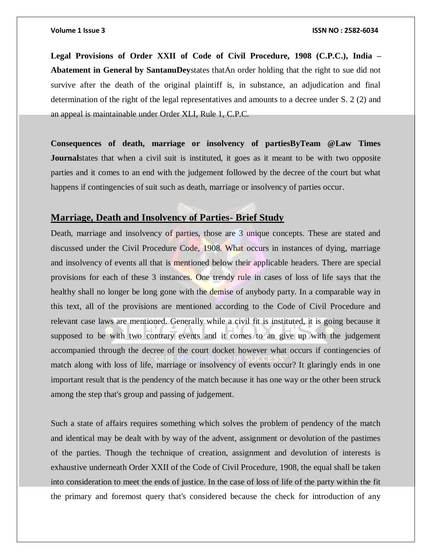**Legal Provisions of Order XXII of Code of Civil Procedure, 1908 (C.P.C.), India – Abatement in General by SantanuDey**states thatAn order holding that the right to sue did not survive after the death of the original plaintiff is, in substance, an adjudication and final determination of the right of the legal representatives and amounts to a decree under S. 2 (2) and an appeal is maintainable under Order XLI, Rule 1, C.P.C.

**Consequences of death, marriage or insolvency of partiesByTeam @Law Times Journal** states that when a civil suit is instituted, it goes as it meant to be with two opposite parties and it comes to an end with the judgement followed by the decree of the court but what happens if contingencies of suit such as death, marriage or insolvency of parties occur.

# **Marriage, Death and Insolvency of Parties- Brief Study**

Death, marriage and insolvency of parties, those are 3 unique concepts. These are stated and discussed under the Civil Procedure Code, 1908. What occurs in instances of dying, marriage and insolvency of events all that is mentioned below their applicable headers. There are special provisions for each of these 3 instances. One trendy rule in cases of loss of life says that the healthy shall no longer be long gone with the demise of anybody party. In a comparable way in this text, all of the provisions are mentioned according to the Code of Civil Procedure and relevant case laws are mentioned. Generally while a civil fit is instituted, it is going because it supposed to be with two contrary events and it comes to an give up with the judgement accompanied through the decree of the court docket however what occurs if contingencies of match along with loss of life, marriage or insolvency of events occur? It glaringly ends in one important result that is the pendency of the match because it has one way or the other been struck among the step that's group and passing of judgement.

Such a state of affairs requires something which solves the problem of pendency of the match and identical may be dealt with by way of the advent, assignment or devolution of the pastimes of the parties. Though the technique of creation, assignment and devolution of interests is exhaustive underneath Order XXII of the Code of Civil Procedure, 1908, the equal shall be taken into consideration to meet the ends of justice. In the case of loss of life of the party within the fit the primary and foremost query that's considered because the check for introduction of any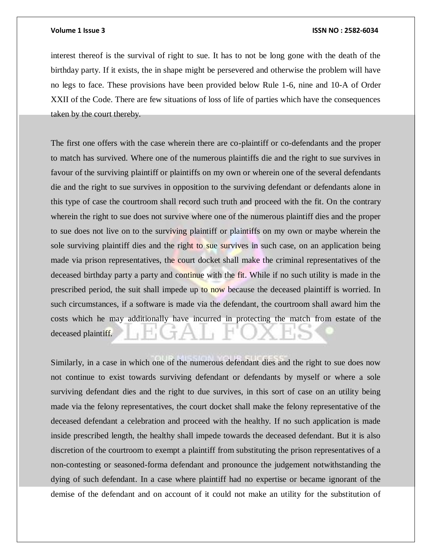interest thereof is the survival of right to sue. It has to not be long gone with the death of the birthday party. If it exists, the in shape might be persevered and otherwise the problem will have no legs to face. These provisions have been provided below Rule 1-6, nine and 10-A of Order XXII of the Code. There are few situations of loss of life of parties which have the consequences taken by the court thereby.

The first one offers with the case wherein there are co-plaintiff or co-defendants and the proper to match has survived. Where one of the numerous plaintiffs die and the right to sue survives in favour of the surviving plaintiff or plaintiffs on my own or wherein one of the several defendants die and the right to sue survives in opposition to the surviving defendant or defendants alone in this type of case the courtroom shall record such truth and proceed with the fit. On the contrary wherein the right to sue does not survive where one of the numerous plaintiff dies and the proper to sue does not live on to the surviving plaintiff or plaintiffs on my own or maybe wherein the sole surviving plaintiff dies and the right to sue survives in such case, on an application being made via prison representatives, the court docket shall make the criminal representatives of the deceased birthday party a party and continue with the fit. While if no such utility is made in the prescribed period, the suit shall impede up to now because the deceased plaintiff is worried. In such circumstances, if a software is made via the defendant, the courtroom shall award him the costs which he may additionally have incurred in protecting the match from estate of the deceased plaintiff.

Similarly, in a case in which one of the numerous defendant dies and the right to sue does now not continue to exist towards surviving defendant or defendants by myself or where a sole surviving defendant dies and the right to due survives, in this sort of case on an utility being made via the felony representatives, the court docket shall make the felony representative of the deceased defendant a celebration and proceed with the healthy. If no such application is made inside prescribed length, the healthy shall impede towards the deceased defendant. But it is also discretion of the courtroom to exempt a plaintiff from substituting the prison representatives of a non-contesting or seasoned-forma defendant and pronounce the judgement notwithstanding the dying of such defendant. In a case where plaintiff had no expertise or became ignorant of the demise of the defendant and on account of it could not make an utility for the substitution of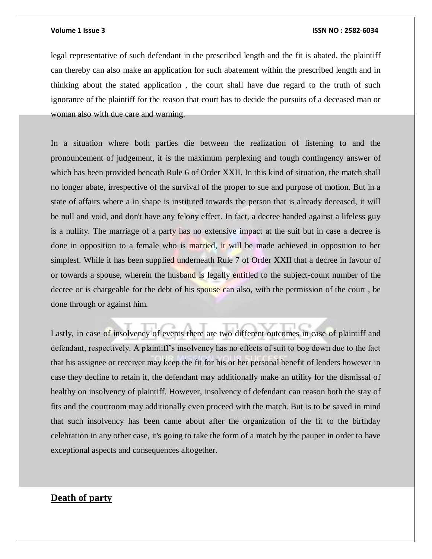legal representative of such defendant in the prescribed length and the fit is abated, the plaintiff can thereby can also make an application for such abatement within the prescribed length and in thinking about the stated application , the court shall have due regard to the truth of such ignorance of the plaintiff for the reason that court has to decide the pursuits of a deceased man or woman also with due care and warning.

In a situation where both parties die between the realization of listening to and the pronouncement of judgement, it is the maximum perplexing and tough contingency answer of which has been provided beneath Rule 6 of Order XXII. In this kind of situation, the match shall no longer abate, irrespective of the survival of the proper to sue and purpose of motion. But in a state of affairs where a in shape is instituted towards the person that is already deceased, it will be null and void, and don't have any felony effect. In fact, a decree handed against a lifeless guy is a nullity. The marriage of a party has no extensive impact at the suit but in case a decree is done in opposition to a female who is married, it will be made achieved in opposition to her simplest. While it has been supplied underneath Rule 7 of Order XXII that a decree in favour of or towards a spouse, wherein the husband is legally entitled to the subject-count number of the decree or is chargeable for the debt of his spouse can also, with the permission of the court , be done through or against him.

Lastly, in case of insolvency of events there are two different outcomes in case of plaintiff and defendant, respectively. A plaintiff's insolvency has no effects of suit to bog down due to the fact that his assignee or receiver may keep the fit for his or her personal benefit of lenders however in case they decline to retain it, the defendant may additionally make an utility for the dismissal of healthy on insolvency of plaintiff. However, insolvency of defendant can reason both the stay of fits and the courtroom may additionally even proceed with the match. But is to be saved in mind that such insolvency has been came about after the organization of the fit to the birthday celebration in any other case, it's going to take the form of a match by the pauper in order to have exceptional aspects and consequences altogether.

# **Death of party**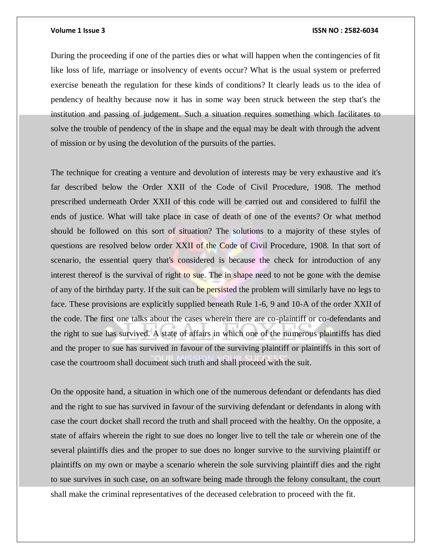During the proceeding if one of the parties dies or what will happen when the contingencies of fit like loss of life, marriage or insolvency of events occur? What is the usual system or preferred exercise beneath the regulation for these kinds of conditions? It clearly leads us to the idea of pendency of healthy because now it has in some way been struck between the step that's the institution and passing of judgement. Such a situation requires something which facilitates to solve the trouble of pendency of the in shape and the equal may be dealt with through the advent of mission or by using the devolution of the pursuits of the parties.

The technique for creating a venture and devolution of interests may be very exhaustive and it's far described below the Order XXII of the Code of Civil Procedure, 1908. The method prescribed underneath Order XXII of this code will be carried out and considered to fulfil the ends of justice. What will take place in case of death of one of the events? Or what method should be followed on this sort of situation? The solutions to a majority of these styles of questions are resolved below order XXII of the Code of Civil Procedure, 1908. In that sort of scenario, the essential query that's considered is because the check for introduction of any interest thereof is the survival of right to sue. The in shape need to not be gone with the demise of any of the birthday party. If the suit can be persisted the problem will similarly have no legs to face. These provisions are explicitly supplied beneath Rule 1-6, 9 and 10-A of the order XXII of the code. The first one talks about the cases wherein there are co-plaintiff or co-defendants and the right to sue has survived. A state of affairs in which one of the numerous plaintiffs has died and the proper to sue has survived in favour of the surviving plaintiff or plaintiffs in this sort of case the courtroom shall document such truth and shall proceed with the suit.

On the opposite hand, a situation in which one of the numerous defendant or defendants has died and the right to sue has survived in favour of the surviving defendant or defendants in along with case the court docket shall record the truth and shall proceed with the healthy. On the opposite, a state of affairs wherein the right to sue does no longer live to tell the tale or wherein one of the several plaintiffs dies and the proper to sue does no longer survive to the surviving plaintiff or plaintiffs on my own or maybe a scenario wherein the sole surviving plaintiff dies and the right to sue survives in such case, on an software being made through the felony consultant, the court shall make the criminal representatives of the deceased celebration to proceed with the fit.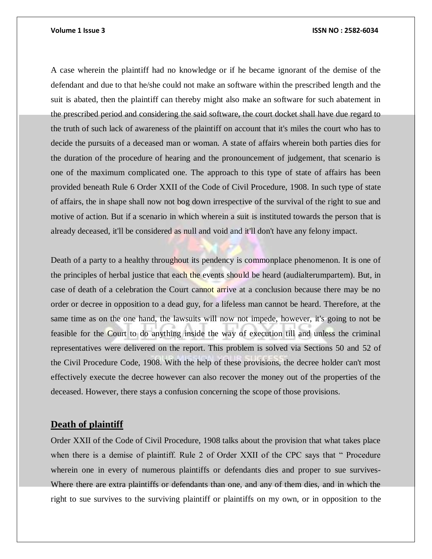A case wherein the plaintiff had no knowledge or if he became ignorant of the demise of the defendant and due to that he/she could not make an software within the prescribed length and the suit is abated, then the plaintiff can thereby might also make an software for such abatement in the prescribed period and considering the said software, the court docket shall have due regard to the truth of such lack of awareness of the plaintiff on account that it's miles the court who has to decide the pursuits of a deceased man or woman. A state of affairs wherein both parties dies for the duration of the procedure of hearing and the pronouncement of judgement, that scenario is one of the maximum complicated one. The approach to this type of state of affairs has been provided beneath Rule 6 Order XXII of the Code of Civil Procedure, 1908. In such type of state of affairs, the in shape shall now not bog down irrespective of the survival of the right to sue and motive of action. But if a scenario in which wherein a suit is instituted towards the person that is already deceased, it'll be considered as null and void and it'll don't have any felony impact.

Death of a party to a healthy throughout its pendency is commonplace phenomenon. It is one of the principles of herbal justice that each the events should be heard (audialterumpartem). But, in case of death of a celebration the Court cannot arrive at a conclusion because there may be no order or decree in opposition to a dead guy, for a lifeless man cannot be heard. Therefore, at the same time as on the one hand, the lawsuits will now not impede, however, it's going to not be feasible for the Court to do anything inside the way of execution till and unless the criminal representatives were delivered on the report. This problem is solved via Sections 50 and 52 of the Civil Procedure Code, 1908. With the help of these provisions, the decree holder can't most effectively execute the decree however can also recover the money out of the properties of the deceased. However, there stays a confusion concerning the scope of those provisions.

# **Death of plaintiff**

Order XXII of the Code of Civil Procedure, 1908 talks about the provision that what takes place when there is a demise of plaintiff. Rule 2 of Order XXII of the CPC says that " Procedure wherein one in every of numerous plaintiffs or defendants dies and proper to sue survives-Where there are extra plaintiffs or defendants than one, and any of them dies, and in which the right to sue survives to the surviving plaintiff or plaintiffs on my own, or in opposition to the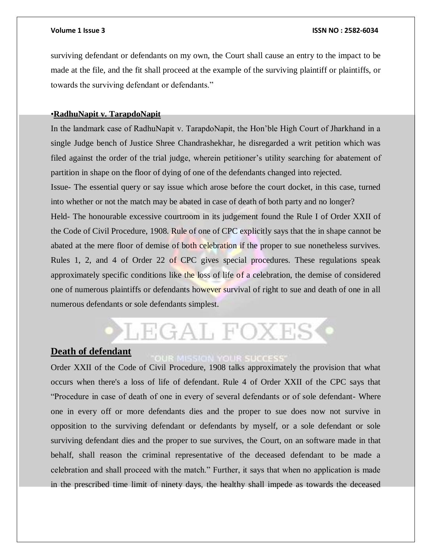surviving defendant or defendants on my own, the Court shall cause an entry to the impact to be made at the file, and the fit shall proceed at the example of the surviving plaintiff or plaintiffs, or towards the surviving defendant or defendants."

### •**RadhuNapit v. TarapdoNapit**

In the landmark case of RadhuNapit v. TarapdoNapit, the Hon'ble High Court of Jharkhand in a single Judge bench of Justice Shree Chandrashekhar, he disregarded a writ petition which was filed against the order of the trial judge, wherein petitioner's utility searching for abatement of partition in shape on the floor of dying of one of the defendants changed into rejected.

Issue- The essential query or say issue which arose before the court docket, in this case, turned into whether or not the match may be abated in case of death of both party and no longer?

Held- The honourable excessive courtroom in its judgement found the Rule I of Order XXII of the Code of Civil Procedure, 1908. Rule of one of CPC explicitly says that the in shape cannot be abated at the mere floor of demise of both celebration if the proper to sue nonetheless survives. Rules 1, 2, and 4 of Order 22 of CPC gives special procedures. These regulations speak approximately specific conditions like the loss of life of a celebration, the demise of considered one of numerous plaintiffs or defendants however survival of right to sue and death of one in all numerous defendants or sole defendants simplest.

# LEGAL FOXES

# **Death of defendant**

Order XXII of the Code of Civil Procedure, 1908 talks approximately the provision that what occurs when there's a loss of life of defendant. Rule 4 of Order XXII of the CPC says that "Procedure in case of death of one in every of several defendants or of sole defendant- Where one in every off or more defendants dies and the proper to sue does now not survive in opposition to the surviving defendant or defendants by myself, or a sole defendant or sole surviving defendant dies and the proper to sue survives, the Court, on an software made in that behalf, shall reason the criminal representative of the deceased defendant to be made a celebration and shall proceed with the match." Further, it says that when no application is made in the prescribed time limit of ninety days, the healthy shall impede as towards the deceased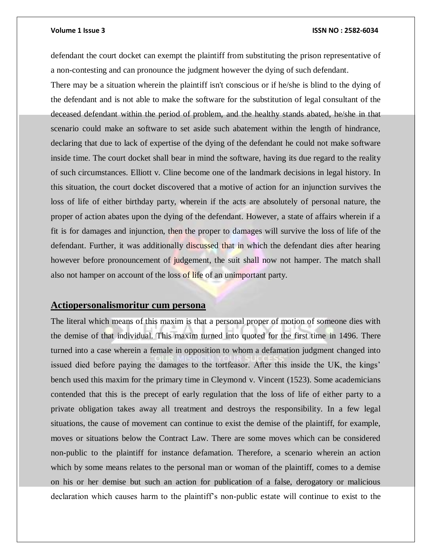defendant the court docket can exempt the plaintiff from substituting the prison representative of a non-contesting and can pronounce the judgment however the dying of such defendant.

There may be a situation wherein the plaintiff isn't conscious or if he/she is blind to the dying of the defendant and is not able to make the software for the substitution of legal consultant of the deceased defendant within the period of problem, and the healthy stands abated, he/she in that scenario could make an software to set aside such abatement within the length of hindrance, declaring that due to lack of expertise of the dying of the defendant he could not make software inside time. The court docket shall bear in mind the software, having its due regard to the reality of such circumstances. Elliott v. Cline become one of the landmark decisions in legal history. In this situation, the court docket discovered that a motive of action for an injunction survives the loss of life of either birthday party, wherein if the acts are absolutely of personal nature, the proper of action abates upon the dying of the defendant. However, a state of affairs wherein if a fit is for damages and injunction, then the proper to damages will survive the loss of life of the defendant. Further, it was additionally discussed that in which the defendant dies after hearing however before pronouncement of judgement, the suit shall now not hamper. The match shall also not hamper on account of the loss of life of an unimportant party.

# **Actiopersonalismoritur cum persona**

The literal which means of this maxim is that a personal proper of motion of someone dies with the demise of that individual. This maxim turned into quoted for the first time in 1496. There turned into a case wherein a female in opposition to whom a defamation judgment changed into issued died before paying the damages to the tortfeasor. After this inside the UK, the kings' bench used this maxim for the primary time in Cleymond v. Vincent (1523). Some academicians contended that this is the precept of early regulation that the loss of life of either party to a private obligation takes away all treatment and destroys the responsibility. In a few legal situations, the cause of movement can continue to exist the demise of the plaintiff, for example, moves or situations below the Contract Law. There are some moves which can be considered non-public to the plaintiff for instance defamation. Therefore, a scenario wherein an action which by some means relates to the personal man or woman of the plaintiff, comes to a demise on his or her demise but such an action for publication of a false, derogatory or malicious declaration which causes harm to the plaintiff's non-public estate will continue to exist to the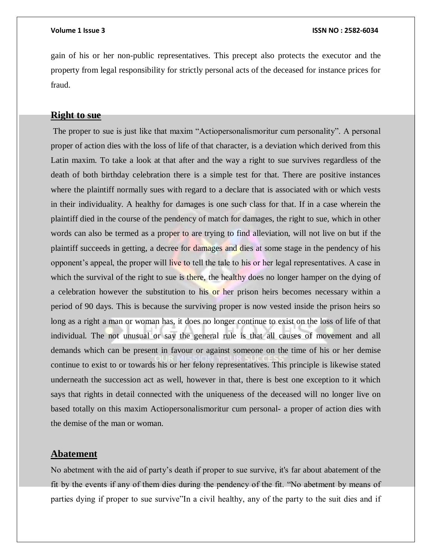gain of his or her non-public representatives. This precept also protects the executor and the property from legal responsibility for strictly personal acts of the deceased for instance prices for fraud.

### **Right to sue**

The proper to sue is just like that maxim "Actiopersonalismoritur cum personality". A personal proper of action dies with the loss of life of that character, is a deviation which derived from this Latin maxim. To take a look at that after and the way a right to sue survives regardless of the death of both birthday celebration there is a simple test for that. There are positive instances where the plaintiff normally sues with regard to a declare that is associated with or which vests in their individuality. A healthy for damages is one such class for that. If in a case wherein the plaintiff died in the course of the pendency of match for damages, the right to sue, which in other words can also be termed as a proper to are trying to find alleviation, will not live on but if the plaintiff succeeds in getting, a decree for damages and dies at some stage in the pendency of his opponent's appeal, the proper will live to tell the tale to his or her legal representatives. A case in which the survival of the right to sue is there, the healthy does no longer hamper on the dying of a celebration however the substitution to his or her prison heirs becomes necessary within a period of 90 days. This is because the surviving proper is now vested inside the prison heirs so long as a right a man or woman has, it does no longer continue to exist on the loss of life of that individual. The not unusual or say the general rule is that all causes of movement and all demands which can be present in favour or against someone on the time of his or her demise continue to exist to or towards his or her felony representatives. This principle is likewise stated underneath the succession act as well, however in that, there is best one exception to it which says that rights in detail connected with the uniqueness of the deceased will no longer live on based totally on this maxim Actiopersonalismoritur cum personal- a proper of action dies with the demise of the man or woman.

# **Abatement**

No abetment with the aid of party's death if proper to sue survive, it's far about abatement of the fit by the events if any of them dies during the pendency of the fit. "No abetment by means of parties dying if proper to sue survive"In a civil healthy, any of the party to the suit dies and if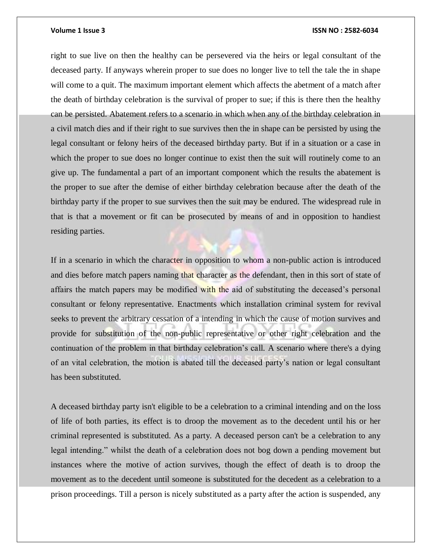right to sue live on then the healthy can be persevered via the heirs or legal consultant of the deceased party. If anyways wherein proper to sue does no longer live to tell the tale the in shape will come to a quit. The maximum important element which affects the abetment of a match after the death of birthday celebration is the survival of proper to sue; if this is there then the healthy can be persisted. Abatement refers to a scenario in which when any of the birthday celebration in a civil match dies and if their right to sue survives then the in shape can be persisted by using the legal consultant or felony heirs of the deceased birthday party. But if in a situation or a case in which the proper to sue does no longer continue to exist then the suit will routinely come to an give up. The fundamental a part of an important component which the results the abatement is the proper to sue after the demise of either birthday celebration because after the death of the birthday party if the proper to sue survives then the suit may be endured. The widespread rule in that is that a movement or fit can be prosecuted by means of and in opposition to handiest residing parties.

If in a scenario in which the character in opposition to whom a non-public action is introduced and dies before match papers naming that character as the defendant, then in this sort of state of affairs the match papers may be modified with the aid of substituting the deceased's personal consultant or felony representative. Enactments which installation criminal system for revival seeks to prevent the arbitrary cessation of a intending in which the cause of motion survives and provide for substitution of the non-public representative or other right celebration and the continuation of the problem in that birthday celebration's call. A scenario where there's a dying of an vital celebration, the motion is abated till the deceased party's nation or legal consultant has been substituted.

A deceased birthday party isn't eligible to be a celebration to a criminal intending and on the loss of life of both parties, its effect is to droop the movement as to the decedent until his or her criminal represented is substituted. As a party. A deceased person can't be a celebration to any legal intending." whilst the death of a celebration does not bog down a pending movement but instances where the motive of action survives, though the effect of death is to droop the movement as to the decedent until someone is substituted for the decedent as a celebration to a prison proceedings. Till a person is nicely substituted as a party after the action is suspended, any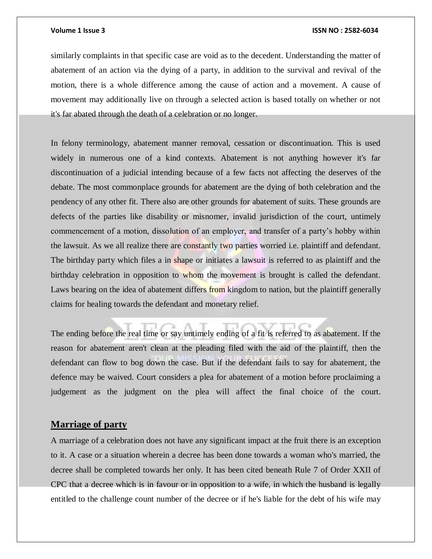similarly complaints in that specific case are void as to the decedent. Understanding the matter of abatement of an action via the dying of a party, in addition to the survival and revival of the motion, there is a whole difference among the cause of action and a movement. A cause of movement may additionally live on through a selected action is based totally on whether or not it's far abated through the death of a celebration or no longer.

In felony terminology, abatement manner removal, cessation or discontinuation. This is used widely in numerous one of a kind contexts. Abatement is not anything however it's far discontinuation of a judicial intending because of a few facts not affecting the deserves of the debate. The most commonplace grounds for abatement are the dying of both celebration and the pendency of any other fit. There also are other grounds for abatement of suits. These grounds are defects of the parties like disability or misnomer, invalid jurisdiction of the court, untimely commencement of a motion, dissolution of an employer, and transfer of a party's hobby within the lawsuit. As we all realize there are constantly two parties worried i.e. plaintiff and defendant. The birthday party which files a in shape or initiates a lawsuit is referred to as plaintiff and the birthday celebration in opposition to whom the movement is brought is called the defendant. Laws bearing on the idea of abatement differs from kingdom to nation, but the plaintiff generally claims for healing towards the defendant and monetary relief.

The ending before the real time or say untimely ending of a fit is referred to as abatement. If the reason for abatement aren't clean at the pleading filed with the aid of the plaintiff, then the defendant can flow to bog down the case. But if the defendant fails to say for abatement, the defence may be waived. Court considers a plea for abatement of a motion before proclaiming a judgement as the judgment on the plea will affect the final choice of the court.

# **Marriage of party**

A marriage of a celebration does not have any significant impact at the fruit there is an exception to it. A case or a situation wherein a decree has been done towards a woman who's married, the decree shall be completed towards her only. It has been cited beneath Rule 7 of Order XXII of CPC that a decree which is in favour or in opposition to a wife, in which the husband is legally entitled to the challenge count number of the decree or if he's liable for the debt of his wife may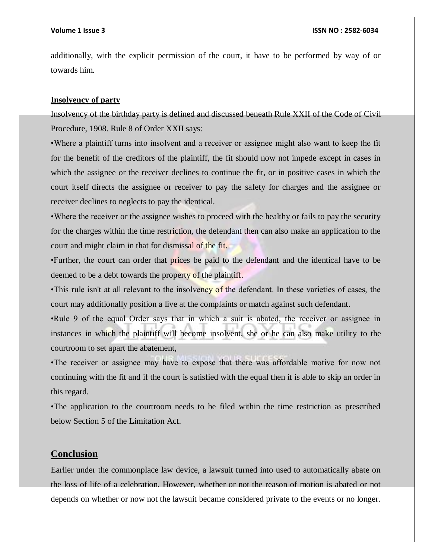additionally, with the explicit permission of the court, it have to be performed by way of or towards him.

### **Insolvency of party**

Insolvency of the birthday party is defined and discussed beneath Rule XXII of the Code of Civil Procedure, 1908. Rule 8 of Order XXII says:

•Where a plaintiff turns into insolvent and a receiver or assignee might also want to keep the fit for the benefit of the creditors of the plaintiff, the fit should now not impede except in cases in which the assignee or the receiver declines to continue the fit, or in positive cases in which the court itself directs the assignee or receiver to pay the safety for charges and the assignee or receiver declines to neglects to pay the identical.

•Where the receiver or the assignee wishes to proceed with the healthy or fails to pay the security for the charges within the time restriction, the defendant then can also make an application to the court and might claim in that for dismissal of the fit.

•Further, the court can order that prices be paid to the defendant and the identical have to be deemed to be a debt towards the property of the plaintiff.

•This rule isn't at all relevant to the insolvency of the defendant. In these varieties of cases, the court may additionally position a live at the complaints or match against such defendant.

•Rule 9 of the equal Order says that in which a suit is abated, the receiver or assignee in instances in which the plaintiff will become insolvent, she or he can also make utility to the courtroom to set apart the abatement,

•The receiver or assignee may have to expose that there was affordable motive for now not continuing with the fit and if the court is satisfied with the equal then it is able to skip an order in this regard.

•The application to the courtroom needs to be filed within the time restriction as prescribed below Section 5 of the Limitation Act.

# **Conclusion**

Earlier under the commonplace law device, a lawsuit turned into used to automatically abate on the loss of life of a celebration. However, whether or not the reason of motion is abated or not depends on whether or now not the lawsuit became considered private to the events or no longer.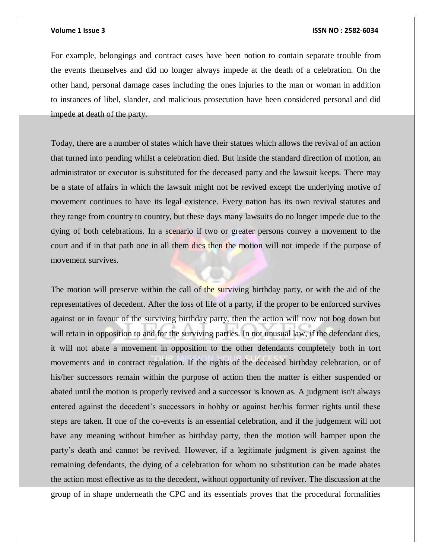For example, belongings and contract cases have been notion to contain separate trouble from the events themselves and did no longer always impede at the death of a celebration. On the other hand, personal damage cases including the ones injuries to the man or woman in addition to instances of libel, slander, and malicious prosecution have been considered personal and did impede at death of the party.

Today, there are a number of states which have their statues which allows the revival of an action that turned into pending whilst a celebration died. But inside the standard direction of motion, an administrator or executor is substituted for the deceased party and the lawsuit keeps. There may be a state of affairs in which the lawsuit might not be revived except the underlying motive of movement continues to have its legal existence. Every nation has its own revival statutes and they range from country to country, but these days many lawsuits do no longer impede due to the dying of both celebrations. In a scenario if two or greater persons convey a movement to the court and if in that path one in all them dies then the motion will not impede if the purpose of movement survives.

The motion will preserve within the call of the surviving birthday party, or with the aid of the representatives of decedent. After the loss of life of a party, if the proper to be enforced survives against or in favour of the surviving birthday party, then the action will now not bog down but will retain in opposition to and for the surviving parties. In not unusual law, if the defendant dies, it will not abate a movement in opposition to the other defendants completely both in tort movements and in contract regulation. If the rights of the deceased birthday celebration, or of his/her successors remain within the purpose of action then the matter is either suspended or abated until the motion is properly revived and a successor is known as. A judgment isn't always entered against the decedent's successors in hobby or against her/his former rights until these steps are taken. If one of the co-events is an essential celebration, and if the judgement will not have any meaning without him/her as birthday party, then the motion will hamper upon the party's death and cannot be revived. However, if a legitimate judgment is given against the remaining defendants, the dying of a celebration for whom no substitution can be made abates the action most effective as to the decedent, without opportunity of reviver. The discussion at the group of in shape underneath the CPC and its essentials proves that the procedural formalities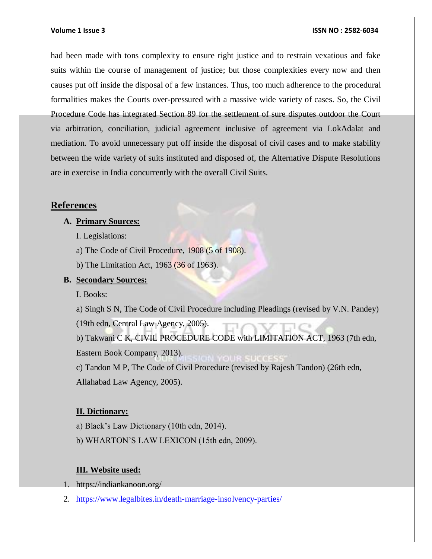had been made with tons complexity to ensure right justice and to restrain vexatious and fake suits within the course of management of justice; but those complexities every now and then causes put off inside the disposal of a few instances. Thus, too much adherence to the procedural formalities makes the Courts over-pressured with a massive wide variety of cases. So, the Civil Procedure Code has integrated Section 89 for the settlement of sure disputes outdoor the Court via arbitration, conciliation, judicial agreement inclusive of agreement via LokAdalat and mediation. To avoid unnecessary put off inside the disposal of civil cases and to make stability between the wide variety of suits instituted and disposed of, the Alternative Dispute Resolutions are in exercise in India concurrently with the overall Civil Suits.

### **References**

# **A. Primary Sources:**

- I. Legislations:
- a) The Code of Civil Procedure, 1908 (5 of 1908).
- b) The Limitation Act, 1963 (36 of 1963).

# **B. Secondary Sources:**

I. Books:

a) Singh S N, The Code of Civil Procedure including Pleadings (revised by V.N. Pandey) (19th edn, Central Law Agency, 2005).

b) Takwani C K, CIVIL PROCEDURE CODE with LIMITATION ACT, 1963 (7th edn, Eastern Book Company, 2013). c) Tandon M P, The Code of Civil Procedure (revised by Rajesh Tandon) (26th edn,

Allahabad Law Agency, 2005).

# **II. Dictionary:**

- a) Black's Law Dictionary (10th edn, 2014).
- b) WHARTON'S LAW LEXICON (15th edn, 2009).

### **III. Website used:**

- 1. https://indiankanoon.org/
- 2. <https://www.legalbites.in/death-marriage-insolvency-parties/>